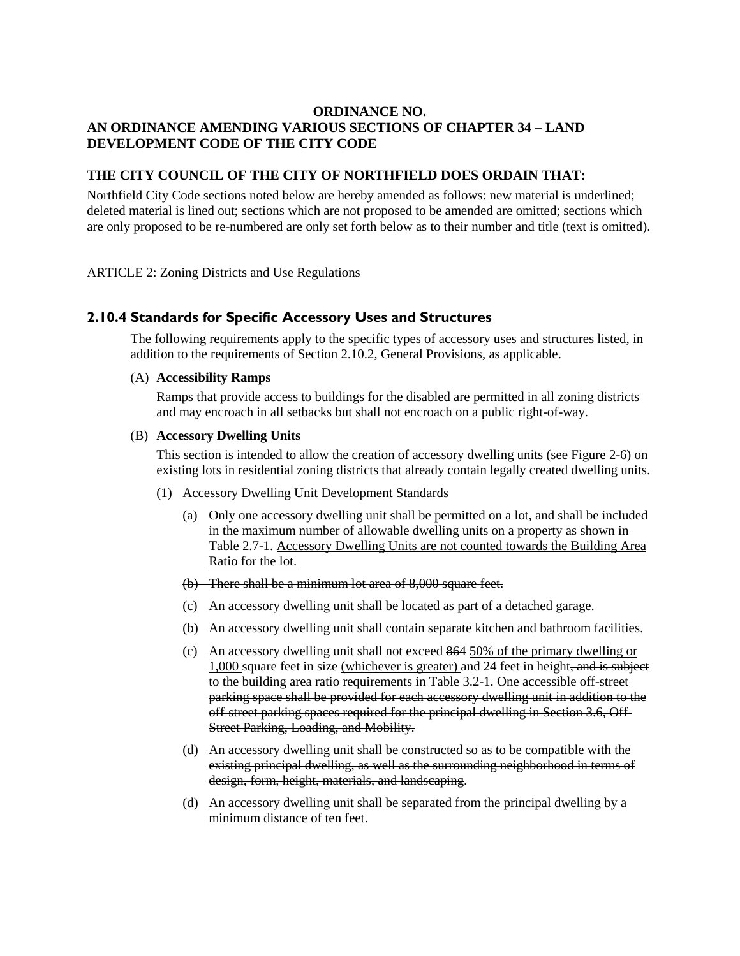# **ORDINANCE NO. AN ORDINANCE AMENDING VARIOUS SECTIONS OF CHAPTER 34 – LAND DEVELOPMENT CODE OF THE CITY CODE**

# **THE CITY COUNCIL OF THE CITY OF NORTHFIELD DOES ORDAIN THAT:**

Northfield City Code sections noted below are hereby amended as follows: new material is underlined; deleted material is lined out; sections which are not proposed to be amended are omitted; sections which are only proposed to be re-numbered are only set forth below as to their number and title (text is omitted).

ARTICLE 2: Zoning Districts and Use Regulations

### **2.10.4 Standards for Specific Accessory Uses and Structures**

The following requirements apply to the specific types of accessory uses and structures listed, in addition to the requirements of Section 2.10.2, General Provisions, as applicable.

### (A) **Accessibility Ramps**

Ramps that provide access to buildings for the disabled are permitted in all zoning districts and may encroach in all setbacks but shall not encroach on a public right-of-way.

#### (B) **Accessory Dwelling Units**

This section is intended to allow the creation of accessory dwelling units (see Figure 2-6) on existing lots in residential zoning districts that already contain legally created dwelling units.

- (1) Accessory Dwelling Unit Development Standards
	- (a) Only one accessory dwelling unit shall be permitted on a lot, and shall be included in the maximum number of allowable dwelling units on a property as shown in Table 2.7-1. Accessory Dwelling Units are not counted towards the Building Area Ratio for the lot.
	- (b) There shall be a minimum lot area of 8,000 square feet.
	- (c) An accessory dwelling unit shall be located as part of a detached garage.
	- (b) An accessory dwelling unit shall contain separate kitchen and bathroom facilities.
	- (c) An accessory dwelling unit shall not exceed 864 50% of the primary dwelling or 1,000 square feet in size (whichever is greater) and 24 feet in height, and is subject to the building area ratio requirements in Table 3.2-1. One accessible off-street parking space shall be provided for each accessory dwelling unit in addition to the off-street parking spaces required for the principal dwelling in Section 3.6, Off-Street Parking, Loading, and Mobility.
	- (d) An accessory dwelling unit shall be constructed so as to be compatible with the existing principal dwelling, as well as the surrounding neighborhood in terms of design, form, height, materials, and landscaping.
	- (d) An accessory dwelling unit shall be separated from the principal dwelling by a minimum distance of ten feet.